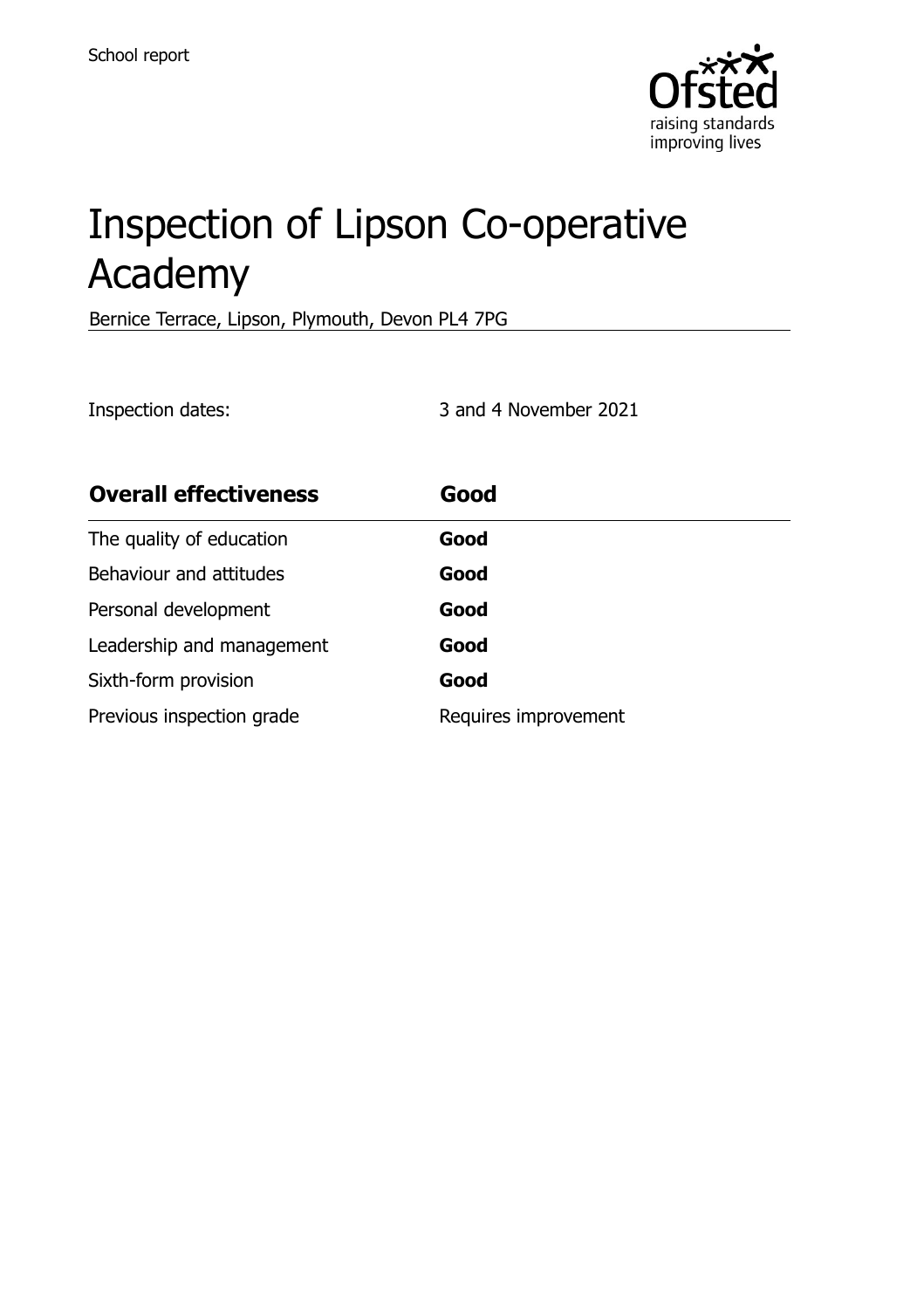

# Inspection of Lipson Co-operative Academy

Bernice Terrace, Lipson, Plymouth, Devon PL4 7PG

Inspection dates: 3 and 4 November 2021

| <b>Overall effectiveness</b> | Good                 |
|------------------------------|----------------------|
| The quality of education     | Good                 |
| Behaviour and attitudes      | Good                 |
| Personal development         | Good                 |
| Leadership and management    | Good                 |
| Sixth-form provision         | Good                 |
| Previous inspection grade    | Requires improvement |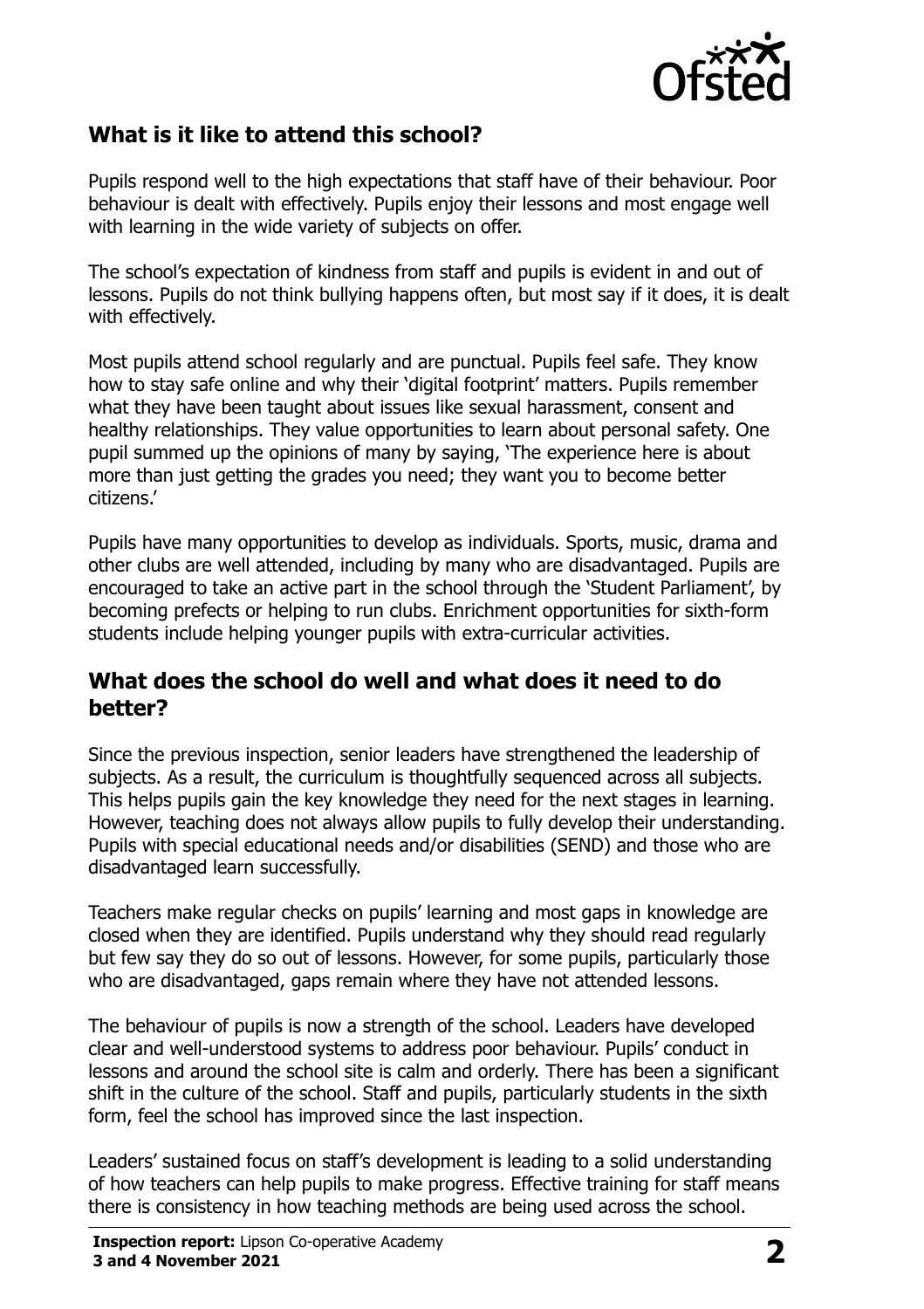

### **What is it like to attend this school?**

Pupils respond well to the high expectations that staff have of their behaviour. Poor behaviour is dealt with effectively. Pupils enjoy their lessons and most engage well with learning in the wide variety of subjects on offer.

The school's expectation of kindness from staff and pupils is evident in and out of lessons. Pupils do not think bullying happens often, but most say if it does, it is dealt with effectively.

Most pupils attend school regularly and are punctual. Pupils feel safe. They know how to stay safe online and why their 'digital footprint' matters. Pupils remember what they have been taught about issues like sexual harassment, consent and healthy relationships. They value opportunities to learn about personal safety. One pupil summed up the opinions of many by saying, 'The experience here is about more than just getting the grades you need; they want you to become better citizens.'

Pupils have many opportunities to develop as individuals. Sports, music, drama and other clubs are well attended, including by many who are disadvantaged. Pupils are encouraged to take an active part in the school through the 'Student Parliament', by becoming prefects or helping to run clubs. Enrichment opportunities for sixth-form students include helping younger pupils with extra-curricular activities.

#### **What does the school do well and what does it need to do better?**

Since the previous inspection, senior leaders have strengthened the leadership of subjects. As a result, the curriculum is thoughtfully sequenced across all subjects. This helps pupils gain the key knowledge they need for the next stages in learning. However, teaching does not always allow pupils to fully develop their understanding. Pupils with special educational needs and/or disabilities (SEND) and those who are disadvantaged learn successfully.

Teachers make regular checks on pupils' learning and most gaps in knowledge are closed when they are identified. Pupils understand why they should read regularly but few say they do so out of lessons. However, for some pupils, particularly those who are disadvantaged, gaps remain where they have not attended lessons.

The behaviour of pupils is now a strength of the school. Leaders have developed clear and well-understood systems to address poor behaviour. Pupils' conduct in lessons and around the school site is calm and orderly. There has been a significant shift in the culture of the school. Staff and pupils, particularly students in the sixth form, feel the school has improved since the last inspection.

Leaders' sustained focus on staff's development is leading to a solid understanding of how teachers can help pupils to make progress. Effective training for staff means there is consistency in how teaching methods are being used across the school.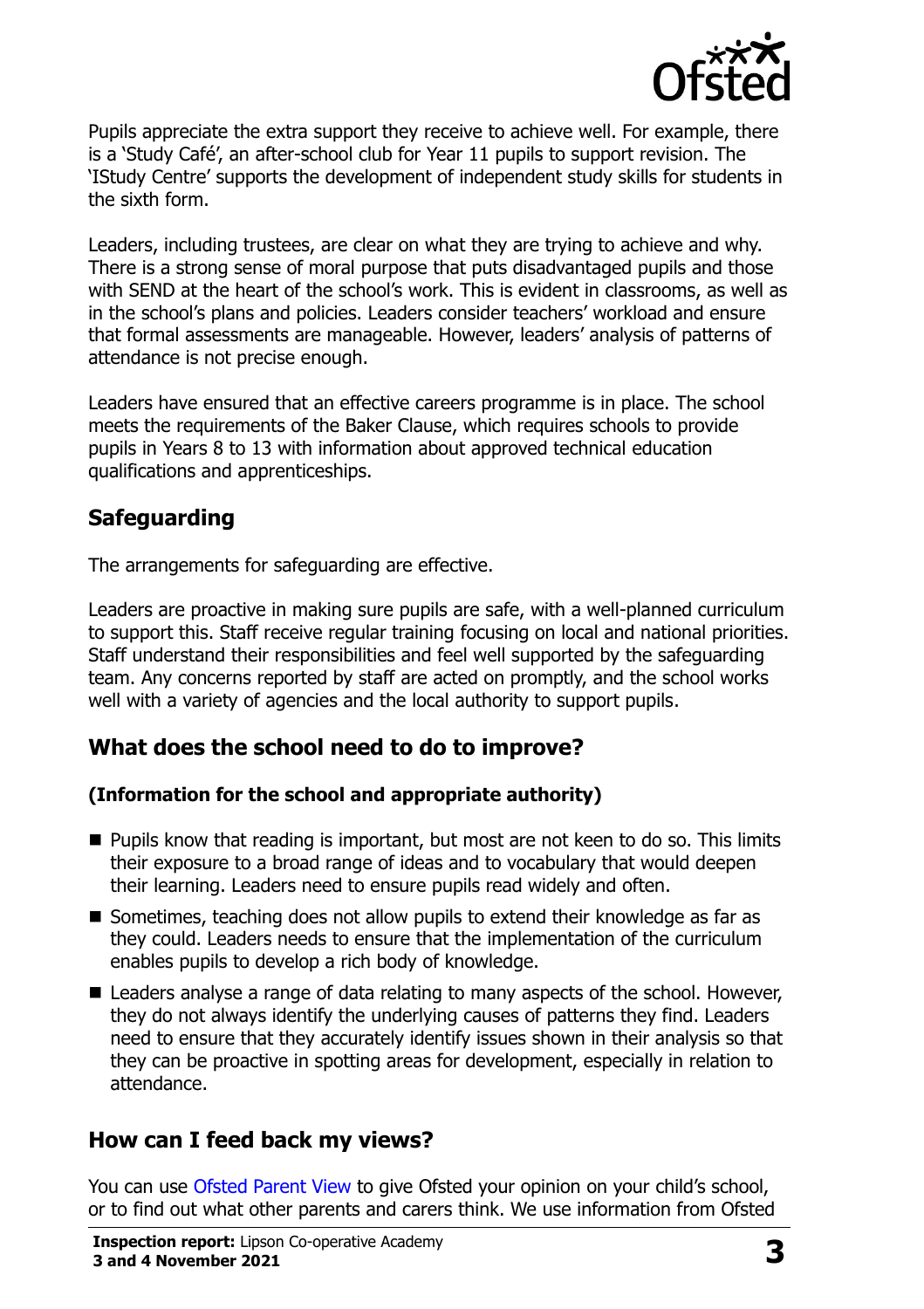

Pupils appreciate the extra support they receive to achieve well. For example, there is a 'Study Café', an after-school club for Year 11 pupils to support revision. The 'IStudy Centre' supports the development of independent study skills for students in the sixth form.

Leaders, including trustees, are clear on what they are trying to achieve and why. There is a strong sense of moral purpose that puts disadvantaged pupils and those with SEND at the heart of the school's work. This is evident in classrooms, as well as in the school's plans and policies. Leaders consider teachers' workload and ensure that formal assessments are manageable. However, leaders' analysis of patterns of attendance is not precise enough.

Leaders have ensured that an effective careers programme is in place. The school meets the requirements of the Baker Clause, which requires schools to provide pupils in Years 8 to 13 with information about approved technical education qualifications and apprenticeships.

## **Safeguarding**

The arrangements for safeguarding are effective.

Leaders are proactive in making sure pupils are safe, with a well-planned curriculum to support this. Staff receive regular training focusing on local and national priorities. Staff understand their responsibilities and feel well supported by the safeguarding team. Any concerns reported by staff are acted on promptly, and the school works well with a variety of agencies and the local authority to support pupils.

### **What does the school need to do to improve?**

#### **(Information for the school and appropriate authority)**

- **Pupils know that reading is important, but most are not keen to do so. This limits** their exposure to a broad range of ideas and to vocabulary that would deepen their learning. Leaders need to ensure pupils read widely and often.
- Sometimes, teaching does not allow pupils to extend their knowledge as far as they could. Leaders needs to ensure that the implementation of the curriculum enables pupils to develop a rich body of knowledge.
- Leaders analyse a range of data relating to many aspects of the school. However, they do not always identify the underlying causes of patterns they find. Leaders need to ensure that they accurately identify issues shown in their analysis so that they can be proactive in spotting areas for development, especially in relation to attendance.

### **How can I feed back my views?**

You can use [Ofsted Parent View](http://parentview.ofsted.gov.uk/) to give Ofsted your opinion on your child's school, or to find out what other parents and carers think. We use information from Ofsted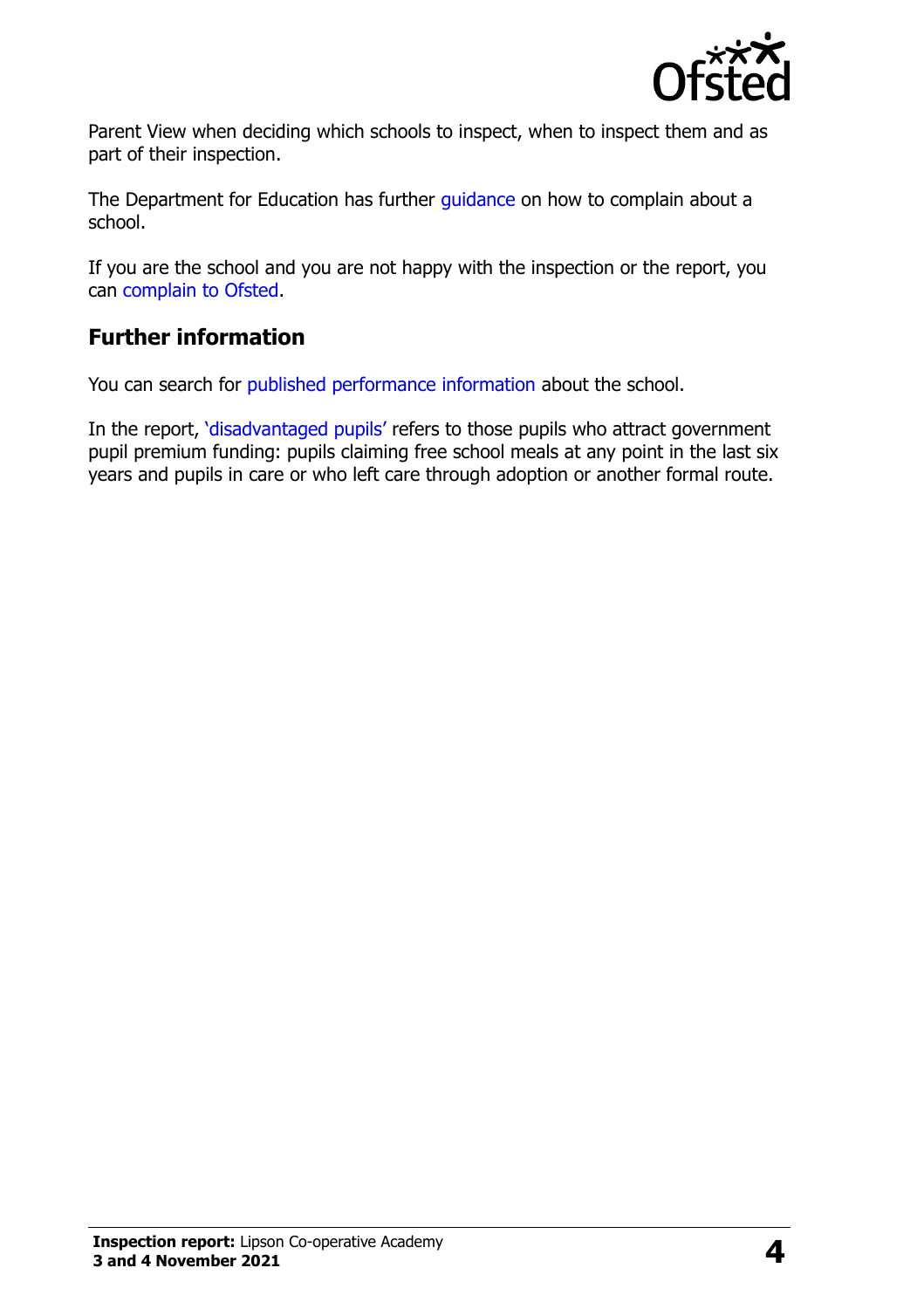

Parent View when deciding which schools to inspect, when to inspect them and as part of their inspection.

The Department for Education has further quidance on how to complain about a school.

If you are the school and you are not happy with the inspection or the report, you can [complain to Ofsted.](http://www.gov.uk/complain-ofsted-report)

# **Further information**

You can search for [published performance information](http://www.compare-school-performance.service.gov.uk/) about the school.

In the report, '[disadvantaged pupils](http://www.gov.uk/guidance/pupil-premium-information-for-schools-and-alternative-provision-settings)' refers to those pupils who attract government pupil premium funding: pupils claiming free school meals at any point in the last six years and pupils in care or who left care through adoption or another formal route.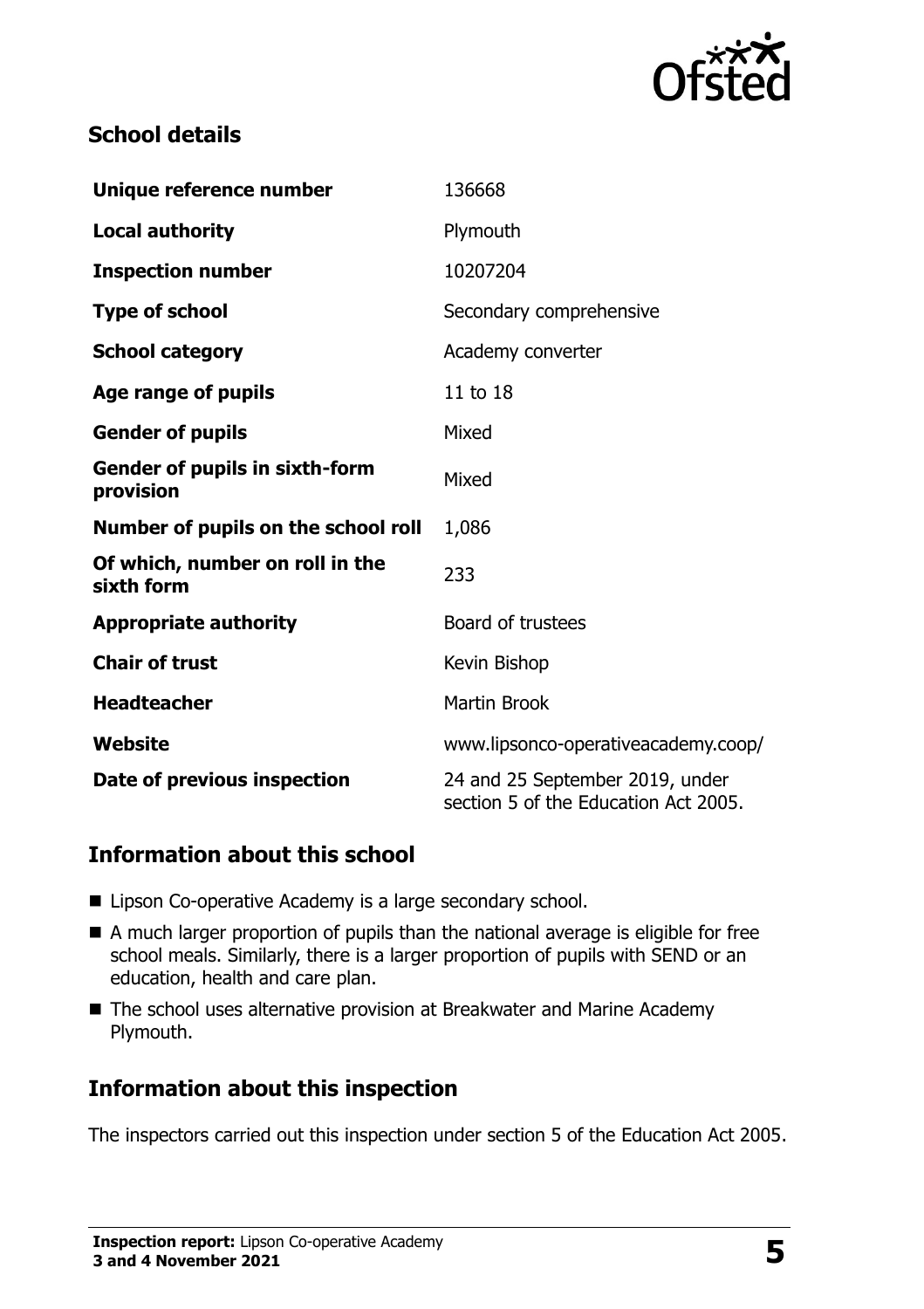

#### **School details**

| Unique reference number                            | 136668                                                                  |  |
|----------------------------------------------------|-------------------------------------------------------------------------|--|
| <b>Local authority</b>                             | Plymouth                                                                |  |
| <b>Inspection number</b>                           | 10207204                                                                |  |
| <b>Type of school</b>                              | Secondary comprehensive                                                 |  |
| <b>School category</b>                             | Academy converter                                                       |  |
| Age range of pupils                                | 11 to 18                                                                |  |
| <b>Gender of pupils</b>                            | Mixed                                                                   |  |
| <b>Gender of pupils in sixth-form</b><br>provision | Mixed                                                                   |  |
| Number of pupils on the school roll                | 1,086                                                                   |  |
| Of which, number on roll in the<br>sixth form      | 233                                                                     |  |
| <b>Appropriate authority</b>                       | Board of trustees                                                       |  |
| <b>Chair of trust</b>                              | Kevin Bishop                                                            |  |
| <b>Headteacher</b>                                 | <b>Martin Brook</b>                                                     |  |
| Website                                            | www.lipsonco-operativeacademy.coop/                                     |  |
| Date of previous inspection                        | 24 and 25 September 2019, under<br>section 5 of the Education Act 2005. |  |

### **Information about this school**

- Lipson Co-operative Academy is a large secondary school.
- A much larger proportion of pupils than the national average is eligible for free school meals. Similarly, there is a larger proportion of pupils with SEND or an education, health and care plan.
- The school uses alternative provision at Breakwater and Marine Academy Plymouth.

### **Information about this inspection**

The inspectors carried out this inspection under section 5 of the Education Act 2005.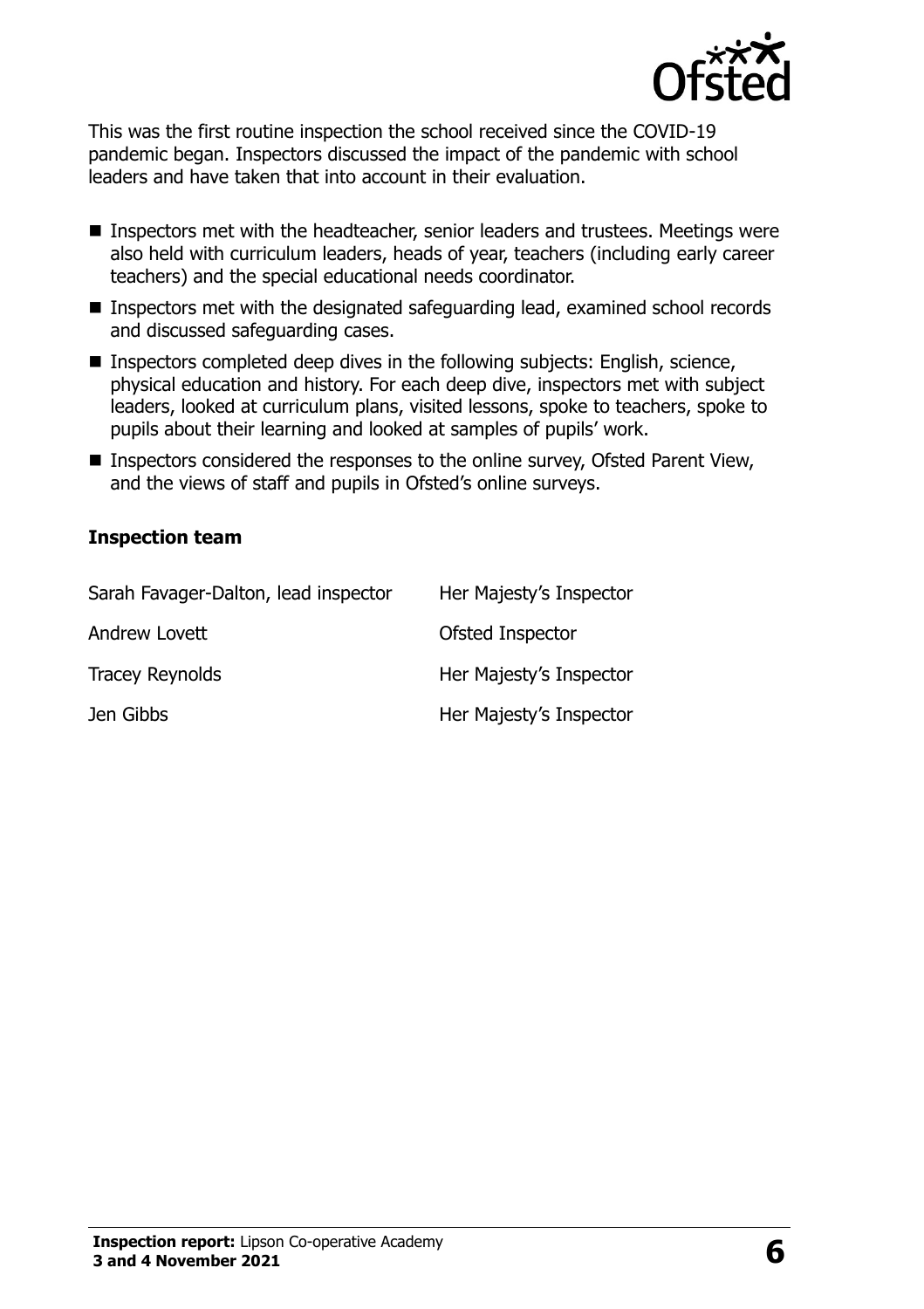

This was the first routine inspection the school received since the COVID-19 pandemic began. Inspectors discussed the impact of the pandemic with school leaders and have taken that into account in their evaluation.

- Inspectors met with the headteacher, senior leaders and trustees. Meetings were also held with curriculum leaders, heads of year, teachers (including early career teachers) and the special educational needs coordinator.
- Inspectors met with the designated safeguarding lead, examined school records and discussed safeguarding cases.
- Inspectors completed deep dives in the following subjects: English, science, physical education and history. For each deep dive, inspectors met with subject leaders, looked at curriculum plans, visited lessons, spoke to teachers, spoke to pupils about their learning and looked at samples of pupils' work.
- Inspectors considered the responses to the online survey, Ofsted Parent View, and the views of staff and pupils in Ofsted's online surveys.

#### **Inspection team**

| Sarah Favager-Dalton, lead inspector | Her Majesty's Inspector |
|--------------------------------------|-------------------------|
| Andrew Lovett                        | Ofsted Inspector        |
| <b>Tracey Reynolds</b>               | Her Majesty's Inspector |
| Jen Gibbs                            | Her Majesty's Inspector |